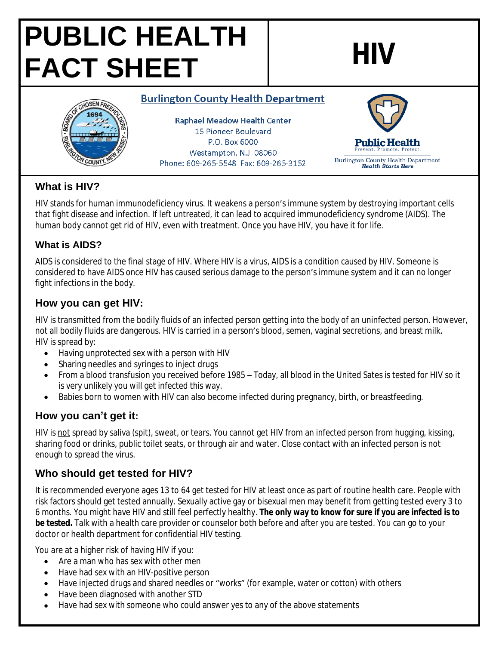# **PUBLIC HEALTH FACT SHEET HIV**



#### **Burlington County Health Department**

**Raphael Meadow Health Center** 15 Pioneer Boulevard P.O. Box 6000 Westampton, N.J. 08060 Phone: 609-265-5548 Fax: 609-265-3152



## **What is HIV?**

HIV stands for human immunodeficiency virus. It weakens a person's immune system by destroying important cells that fight disease and infection. If left untreated, it can lead to acquired immunodeficiency syndrome (AIDS). The human body cannot get rid of HIV, even with treatment. Once you have HIV, you have it for life.

#### **What is AIDS?**

AIDS is considered to the final stage of HIV. Where HIV is a virus, AIDS is a condition caused by HIV. Someone is considered to have AIDS once HIV has caused serious damage to the person's immune system and it can no longer fight infections in the body.

## **How you can get HIV:**

HIV is transmitted from the bodily fluids of an infected person getting into the body of an uninfected person. However, not all bodily fluids are dangerous. HIV is carried in a person's blood, semen, vaginal secretions, and breast milk. HIV is spread by:

- Having unprotected sex with a person with HIV
- Sharing needles and syringes to inject drugs
- From a blood transfusion you received before 1985 Today, all blood in the United Sates is tested for HIV so it is very unlikely you will get infected this way.
- Babies born to women with HIV can also become infected during pregnancy, birth, or breastfeeding.

# **How you can't get it:**

HIV is not spread by saliva (spit), sweat, or tears. You cannot get HIV from an infected person from hugging, kissing, sharing food or drinks, public toilet seats, or through air and water. Close contact with an infected person is not enough to spread the virus.

# **Who should get tested for HIV?**

It is recommended everyone ages 13 to 64 get tested for HIV at least once as part of routine health care. People with risk factors should get tested annually. Sexually active gay or bisexual men may benefit from getting tested every 3 to 6 months. You might have HIV and still feel perfectly healthy. **The only way to know for sure if you are infected is to be tested.** Talk with a health care provider or counselor both before and after you are tested. You can go to your doctor or health department for confidential HIV testing.

You are at a higher risk of having HIV if you:

- Are a man who has sex with other men
- Have had sex with an HIV-positive person
- Have injected drugs and shared needles or "works" (for example, water or cotton) with others
- Have been diagnosed with another STD
- Have had sex with someone who could answer yes to any of the above statements